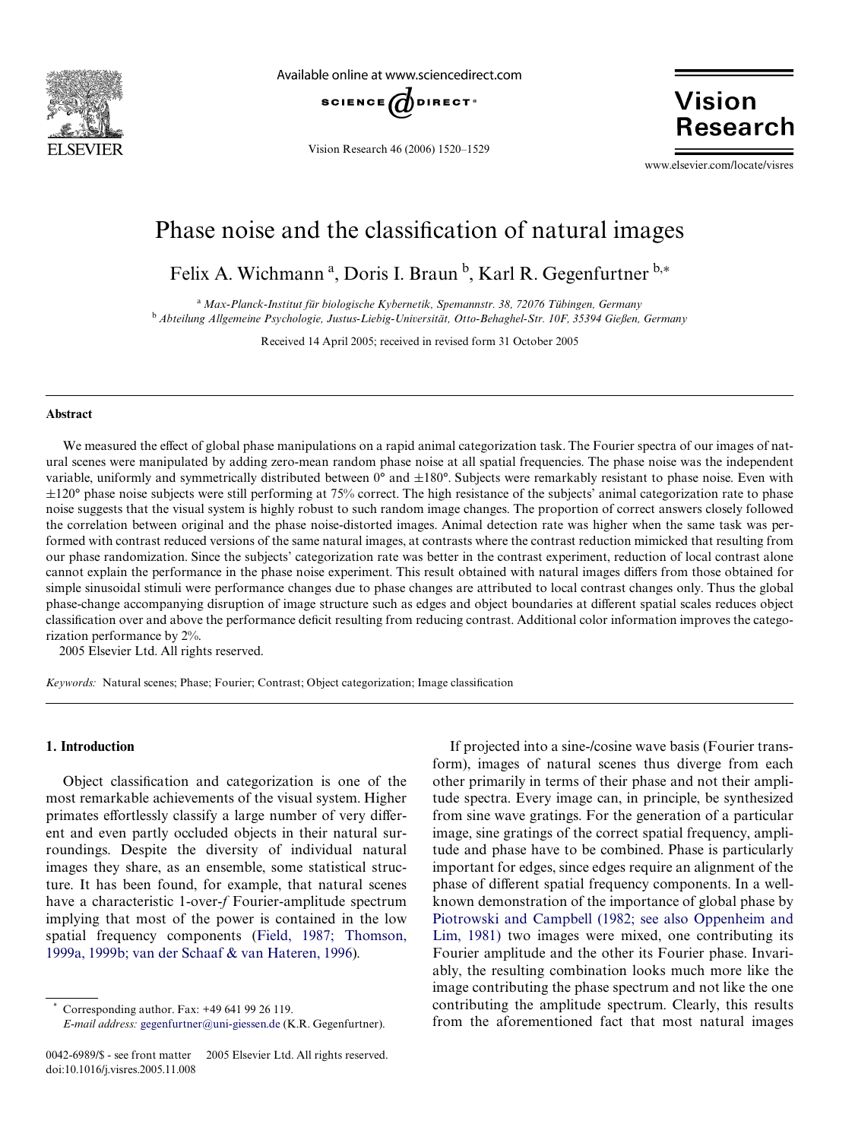

Available online at www.sciencedirect.com



Vision Research 46 (2006) 1520–1529

**Vision Research** 

www.elsevier.com/locate/visres

# Phase noise and the classification of natural images

Felix A. Wichmann<sup>a</sup>, Doris I. Braun<sup>b</sup>, Karl R. Gegenfurtner<sup>b,\*</sup>

<sup>a</sup>*Max-Planck-Institut für biologische Kybernetik, Spemannstr. 38, 72076 Tübingen, Germany* <sup>b</sup>*Abteilung Allgemeine Psychologie, Justus-Liebig-Universität, Otto-Behaghel-Str. 10F, 35394 Gießen, Germany*

Received 14 April 2005; received in revised form 31 October 2005

#### **Abstract**

We measured the effect of global phase manipulations on a rapid animal categorization task. The Fourier spectra of our images of natural scenes were manipulated by adding zero-mean random phase noise at all spatial frequencies. The phase noise was the independent variable, uniformly and symmetrically distributed between  $0^{\circ}$  and  $\pm 180^{\circ}$ . Subjects were remarkably resistant to phase noise. Even with  $\pm 120^{\circ}$  phase noise subjects were still performing at 75% correct. The high resistance of the subjects' animal categorization rate to phase noise suggests that the visual system is highly robust to such random image changes. The proportion of correct answers closely followed the correlation between original and the phase noise-distorted images. Animal detection rate was higher when the same task was performed with contrast reduced versions of the same natural images, at contrasts where the contrast reduction mimicked that resulting from our phase randomization. Since the subjects' categorization rate was better in the contrast experiment, reduction of local contrast alone cannot explain the performance in the phase noise experiment. This result obtained with natural images differs from those obtained for simple sinusoidal stimuli were performance changes due to phase changes are attributed to local contrast changes only. Thus the global phase-change accompanying disruption of image structure such as edges and object boundaries at different spatial scales reduces object classification over and above the performance deficit resulting from reducing contrast. Additional color information improves the categorization performance by 2%.

2005 Elsevier Ltd. All rights reserved.

*Keywords:* Natural scenes; Phase; Fourier; Contrast; Object categorization; Image classification

#### <span id="page-0-0"></span>**1. Introduction**

Object classification and categorization is one of the most remarkable achievements of the visual system. Higher primates effortlessly classify a large number of very different and even partly occluded objects in their natural surroundings. Despite the diversity of individual natural images they share, as an ensemble, some statistical structure. It has been found, for example, that natural scenes have a characteristic 1-over-*f* Fourier-amplitude spectrum implying that most of the power is contained in the low spatial frequency components ([Field, 1987; Thomson,](#page-9-0) [1999a, 1999b; van der Schaaf & van Hateren, 1996](#page-9-0)).

Corresponding author. Fax: +49 641 99 26 119.

*E-mail address:* [gegenfurtner@uni-giessen.de](mailto: gegenfurtner@uni-giessen.de) (K.R. Gegenfurtner).

If projected into a sine-/cosine wave basis (Fourier transform), images of natural scenes thus diverge from each other primarily in terms of their phase and not their amplitude spectra. Every image can, in principle, be synthesized from sine wave gratings. For the generation of a particular image, sine gratings of the correct spatial frequency, amplitude and phase have to be combined. Phase is particularly important for edges, since edges require an alignment of the phase of different spatial frequency components. In a wellknown demonstration of the importance of global phase by [Piotrowski and Campbell \(1982; see also Oppenheim and](#page-9-1) [Lim, 1981\)](#page-9-1) two images were mixed, one contributing its Fourier amplitude and the other its Fourier phase. Invariably, the resulting combination looks much more like the image contributing the phase spectrum and not like the one contributing the amplitude spectrum. Clearly, this results from the aforementioned fact that most natural images

<sup>0042-6989/\$ -</sup> see front matter © 2005 Elsevier Ltd. All rights reserved. doi:10.1016/j.visres.2005.11.008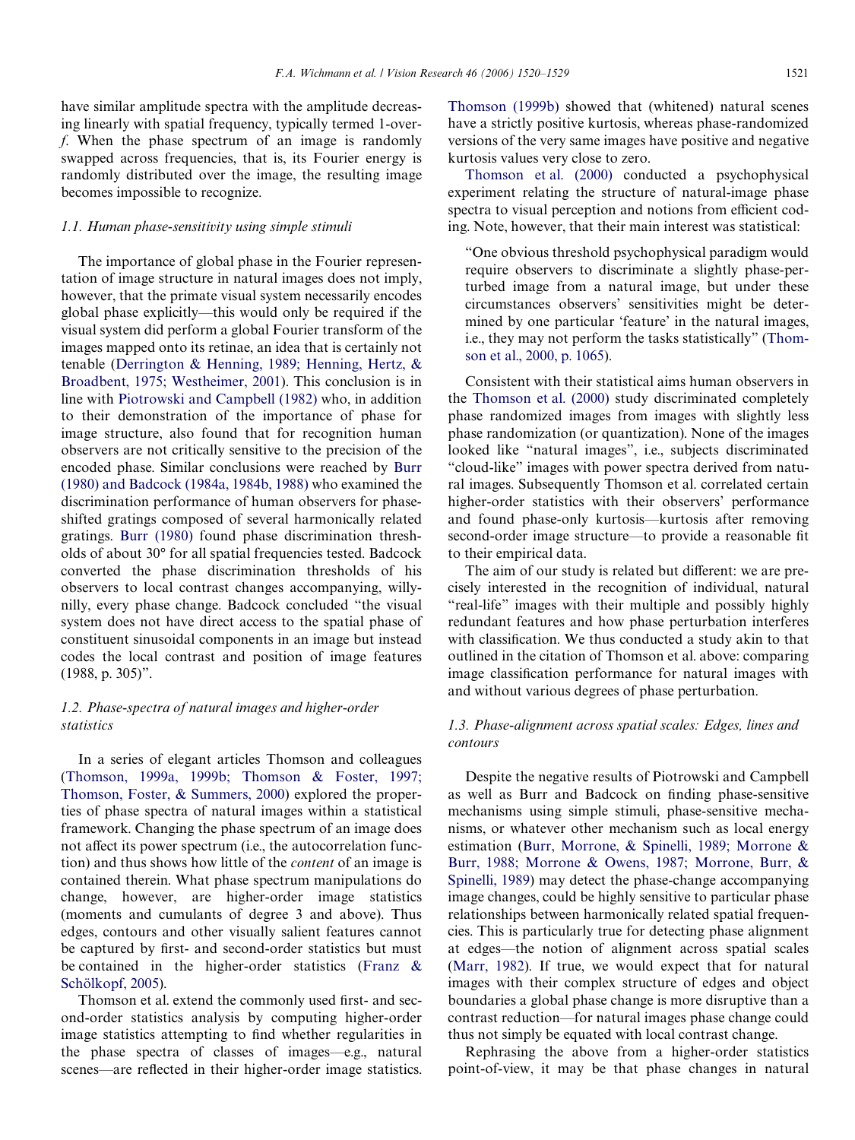have similar amplitude spectra with the amplitude decreasing linearly with spatial frequency, typically termed 1-over*f*. When the phase spectrum of an image is randomly swapped across frequencies, that is, its Fourier energy is randomly distributed over the image, the resulting image becomes impossible to recognize.

### *1.1. Human phase-sensitivity using simple stimuli*

The importance of global phase in the Fourier representation of image structure in natural images does not imply, however, that the primate visual system necessarily encodes global phase explicitly—this would only be required if the visual system did perform a global Fourier transform of the images mapped onto its retinae, an idea that is certainly not tenable ([Derrington & Henning, 1989; Henning, Hertz, &](#page-8-0) [Broadbent, 1975; Westheimer, 2001\)](#page-8-0). This conclusion is in line with [Piotrowski and Campbell \(1982\)](#page-9-1) who, in addition to their demonstration of the importance of phase for image structure, also found that for recognition human observers are not critically sensitive to the precision of the encoded phase. Similar conclusions were reached by [Burr](#page-8-1) [\(1980\) and Badcock \(1984a, 1984b, 1988\)](#page-8-1) who examined the discrimination performance of human observers for phaseshifted gratings composed of several harmonically related gratings. [Burr \(1980\)](#page-8-1) found phase discrimination thresholds of about 30° for all spatial frequencies tested. Badcock converted the phase discrimination thresholds of his observers to local contrast changes accompanying, willynilly, every phase change. Badcock concluded "the visual system does not have direct access to the spatial phase of constituent sinusoidal components in an image but instead codes the local contrast and position of image features (1988, p. 305)".

## *1.2. Phase-spectra of natural images and higher-order statistics*

In a series of elegant articles Thomson and colleagues ([Thomson, 1999a, 1999b; Thomson & Foster, 1997;](#page-9-2) [Thomson, Foster, & Summers, 2000](#page-9-2)) explored the properties of phase spectra of natural images within a statistical framework. Changing the phase spectrum of an image does not affect its power spectrum (i.e., the autocorrelation function) and thus shows how little of the *content* of an image is contained therein. What phase spectrum manipulations do change, however, are higher-order image statistics (moments and cumulants of degree 3 and above). Thus edges, contours and other visually salient features cannot be captured by first- and second-order statistics but must be contained in the higher-order statistics ([Franz &](#page-9-3) [Schölkopf, 2005\)](#page-9-3).

Thomson et al. extend the commonly used first- and second-order statistics analysis by computing higher-order image statistics attempting to find whether regularities in the phase spectra of classes of images—e.g., natural scenes—are reflected in their higher-order image statistics. [Thomson \(1999b\)](#page-9-4) showed that (whitened) natural scenes have a strictly positive kurtosis, whereas phase-randomized versions of the very same images have positive and negative kurtosis values very close to zero.

[Thomson et al. \(2000\)](#page-9-5) conducted a psychophysical experiment relating the structure of natural-image phase spectra to visual perception and notions from efficient coding. Note, however, that their main interest was statistical:

"One obvious threshold psychophysical paradigm would require observers to discriminate a slightly phase-perturbed image from a natural image, but under these circumstances observers' sensitivities might be determined by one particular 'feature' in the natural images, i.e., they may not perform the tasks statistically" [\(Thom](#page-9-5)[son et al., 2000, p. 1065\)](#page-9-5).

Consistent with their statistical aims human observers in the [Thomson et al. \(2000\)](#page-9-5) study discriminated completely phase randomized images from images with slightly less phase randomization (or quantization). None of the images looked like "natural images", i.e., subjects discriminated "cloud-like" images with power spectra derived from natural images. Subsequently Thomson et al. correlated certain higher-order statistics with their observers' performance and found phase-only kurtosis—kurtosis after removing second-order image structure—to provide a reasonable fit to their empirical data.

The aim of our study is related but different: we are precisely interested in the recognition of individual, natural "real-life" images with their multiple and possibly highly redundant features and how phase perturbation interferes with classification. We thus conducted a study akin to that outlined in the citation of Thomson et al. above: comparing image classification performance for natural images with and without various degrees of phase perturbation.

## *1.3. Phase-alignment across spatial scales: Edges, lines and contours*

Despite the negative results of Piotrowski and Campbell as well as Burr and Badcock on finding phase-sensitive mechanisms using simple stimuli, phase-sensitive mechanisms, or whatever other mechanism such as local energy estimation [\(Burr, Morrone, & Spinelli, 1989; Morrone &](#page-8-2) [Burr, 1988; Morrone & Owens, 1987; Morrone, Burr, &](#page-8-2) [Spinelli, 1989\)](#page-8-2) may detect the phase-change accompanying image changes, could be highly sensitive to particular phase relationships between harmonically related spatial frequencies. This is particularly true for detecting phase alignment at edges—the notion of alignment across spatial scales [\(Marr, 1982](#page-9-6)). If true, we would expect that for natural images with their complex structure of edges and object boundaries a global phase change is more disruptive than a contrast reduction—for natural images phase change could thus not simply be equated with local contrast change.

Rephrasing the above from a higher-order statistics point-of-view, it may be that phase changes in natural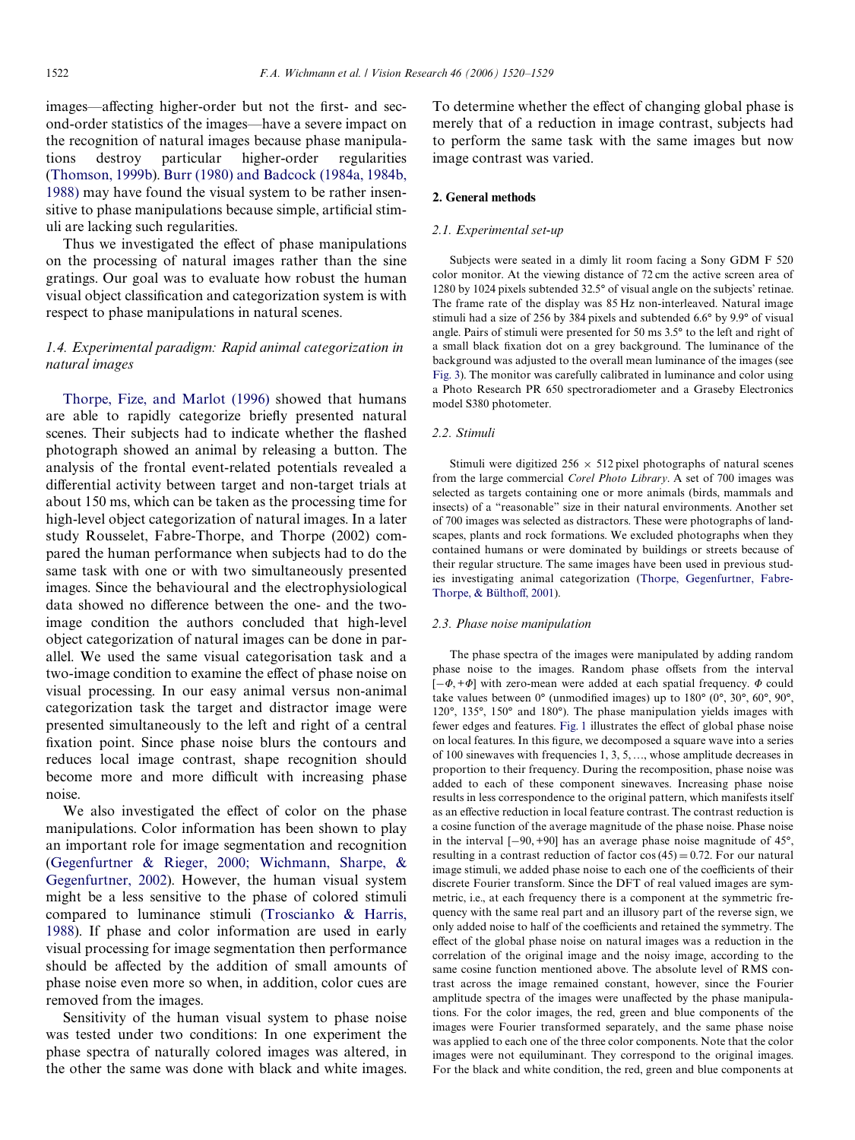images—affecting higher-order but not the first- and second-order statistics of the images—have a severe impact on the recognition of natural images because phase manipulations destroy particular higher-order regularities [\(Thomson, 1999b](#page-9-4)). [Burr \(1980\) and Badcock \(1984a, 1984b,](#page-8-1) [1988\)](#page-8-1) may have found the visual system to be rather insensitive to phase manipulations because simple, artificial stimuli are lacking such regularities.

Thus we investigated the effect of phase manipulations on the processing of natural images rather than the sine gratings. Our goal was to evaluate how robust the human visual object classification and categorization system is with respect to phase manipulations in natural scenes.

## *1.4. Experimental paradigm: Rapid animal categorization in natural images*

[Thorpe, Fize, and Marlot \(1996\)](#page-9-7) showed that humans are able to rapidly categorize briefly presented natural scenes. Their subjects had to indicate whether the flashed photograph showed an animal by releasing a button. The analysis of the frontal event-related potentials revealed a differential activity between target and non-target trials at about 150 ms, which can be taken as the processing time for high-level object categorization of natural images. In a later study Rousselet, Fabre-Thorpe, and Thorpe (2002) compared the human performance when subjects had to do the same task with one or with two simultaneously presented images. Since the behavioural and the electrophysiological data showed no difference between the one- and the twoimage condition the authors concluded that high-level object categorization of natural images can be done in parallel. We used the same visual categorisation task and a two-image condition to examine the effect of phase noise on visual processing. In our easy animal versus non-animal categorization task the target and distractor image were presented simultaneously to the left and right of a central fixation point. Since phase noise blurs the contours and reduces local image contrast, shape recognition should become more and more difficult with increasing phase noise.

We also investigated the effect of color on the phase manipulations. Color information has been shown to play an important role for image segmentation and recognition [\(Gegenfurtner & Rieger, 2000; Wichmann, Sharpe, &](#page-9-8) [Gegenfurtner, 2002](#page-9-8)). However, the human visual system might be a less sensitive to the phase of colored stimuli compared to luminance stimuli ([Troscianko & Harris,](#page-9-9) [1988\)](#page-9-9). If phase and color information are used in early visual processing for image segmentation then performance should be affected by the addition of small amounts of phase noise even more so when, in addition, color cues are removed from the images.

Sensitivity of the human visual system to phase noise was tested under two conditions: In one experiment the phase spectra of naturally colored images was altered, in the other the same was done with black and white images. To determine whether the effect of changing global phase is merely that of a reduction in image contrast, subjects had to perform the same task with the same images but now image contrast was varied.

#### **2. General methods**

#### *2.1. Experimental set-up*

Subjects were seated in a dimly lit room facing a Sony GDM F 520 color monitor. At the viewing distance of 72 cm the active screen area of 1280 by 1024 pixels subtended 32.5° of visual angle on the subjects' retinae. The frame rate of the display was 85 Hz non-interleaved. Natural image stimuli had a size of 256 by 384 pixels and subtended 6.6° by 9.9° of visual angle. Pairs of stimuli were presented for 50 ms 3.5° to the left and right of a small black fixation dot on a grey background. The luminance of the background was adjusted to the overall mean luminance of the images (see [Fig. 3](#page-4-0)). The monitor was carefully calibrated in luminance and color using a Photo Research PR 650 spectroradiometer and a Graseby Electronics model S380 photometer.

#### *2.2. Stimuli*

Stimuli were digitized  $256 \times 512$  pixel photographs of natural scenes from the large commercial *Corel Photo Library*. A set of 700 images was selected as targets containing one or more animals (birds, mammals and insects) of a "reasonable" size in their natural environments. Another set of 700 images was selected as distractors. These were photographs of landscapes, plants and rock formations. We excluded photographs when they contained humans or were dominated by buildings or streets because of their regular structure. The same images have been used in previous studies investigating animal categorization [\(Thorpe, Gegenfurtner, Fabre-](#page-9-10)[Thorpe, & Bültho](#page-9-10)ff[, 2001](#page-9-10)).

#### *2.3. Phase noise manipulation*

The phase spectra of the images were manipulated by adding random phase noise to the images. Random phase offsets from the interval  $[-\Phi, +\Phi]$  with zero-mean were added at each spatial frequency.  $\Phi$  could take values between  $0^{\circ}$  (unmodified images) up to  $180^{\circ}$  ( $0^{\circ}$ ,  $30^{\circ}$ ,  $60^{\circ}$ ,  $90^{\circ}$ , 120°, 135°, 150° and 180°). The phase manipulation yields images with fewer edges and features. [Fig. 1](#page-3-0) illustrates the effect of global phase noise on local features. In this figure, we decomposed a square wave into a series of 100 sinewaves with frequencies  $1, 3, 5, \ldots$ , whose amplitude decreases in proportion to their frequency. During the recomposition, phase noise was added to each of these component sinewaves. Increasing phase noise results in less correspondence to the original pattern, which manifests itself as an effective reduction in local feature contrast. The contrast reduction is a cosine function of the average magnitude of the phase noise. Phase noise in the interval  $[-90, +90]$  has an average phase noise magnitude of  $45^{\circ}$ , resulting in a contrast reduction of factor  $cos(45) = 0.72$ . For our natural image stimuli, we added phase noise to each one of the coefficients of their discrete Fourier transform. Since the DFT of real valued images are symmetric, i.e., at each frequency there is a component at the symmetric frequency with the same real part and an illusory part of the reverse sign, we only added noise to half of the coefficients and retained the symmetry. The effect of the global phase noise on natural images was a reduction in the correlation of the original image and the noisy image, according to the same cosine function mentioned above. The absolute level of RMS contrast across the image remained constant, however, since the Fourier amplitude spectra of the images were unaffected by the phase manipulations. For the color images, the red, green and blue components of the images were Fourier transformed separately, and the same phase noise was applied to each one of the three color components. Note that the color images were not equiluminant. They correspond to the original images. For the black and white condition, the red, green and blue components at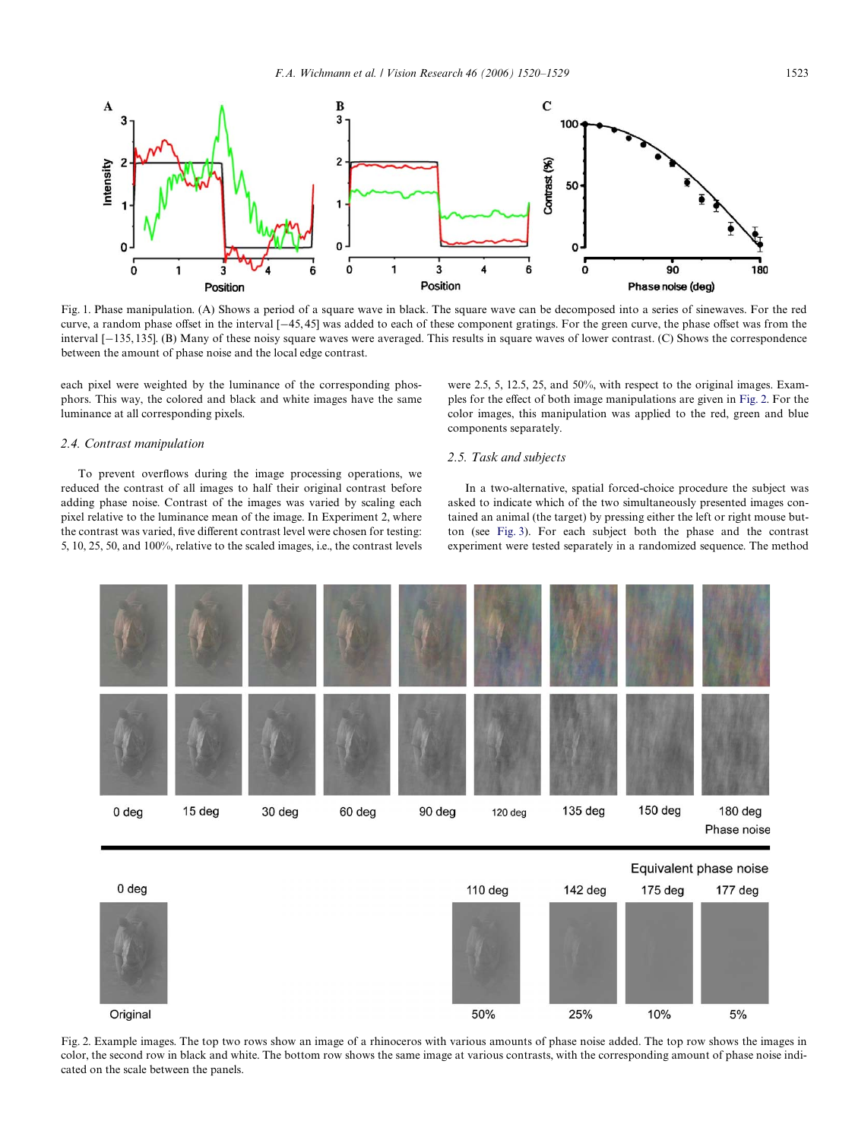

<span id="page-3-0"></span>Fig. 1. Phase manipulation. (A) Shows a period of a square wave in black. The square wave can be decomposed into a series of sinewaves. For the red curve, a random phase offset in the interval [-45, 45] was added to each of these component gratings. For the green curve, the phase offset was from the interval  $[-135, 135]$ . (B) Many of these noisy square waves were averaged. This results in square waves of lower contrast. (C) Shows the correspondence between the amount of phase noise and the local edge contrast.

each pixel were weighted by the luminance of the corresponding phosphors. This way, the colored and black and white images have the same luminance at all corresponding pixels.

#### were 2.5, 5, 12.5, 25, and 50%, with respect to the original images. Exam-ples for the effect of both image manipulations are given in [Fig. 2.](#page-3-1) For the color images, this manipulation was applied to the red, green and blue components separately.

## *2.4. Contrast manipulation*

To prevent overflows during the image processing operations, we reduced the contrast of all images to half their original contrast before adding phase noise. Contrast of the images was varied by scaling each pixel relative to the luminance mean of the image. In Experiment 2, where the contrast was varied, five different contrast level were chosen for testing: 5, 10, 25, 50, and 100%, relative to the scaled images, i.e., the contrast levels

## *2.5. Task and subjects*

In a two-alternative, spatial forced-choice procedure the subject was asked to indicate which of the two simultaneously presented images contained an animal (the target) by pressing either the left or right mouse button (see [Fig. 3](#page-4-0)). For each subject both the phase and the contrast experiment were tested separately in a randomized sequence. The method





<span id="page-3-1"></span>Fig. 2. Example images. The top two rows show an image of a rhinoceros with various amounts of phase noise added. The top row shows the images in color, the second row in black and white. The bottom row shows the same image at various contrasts, with the corresponding amount of phase noise indicated on the scale between the panels.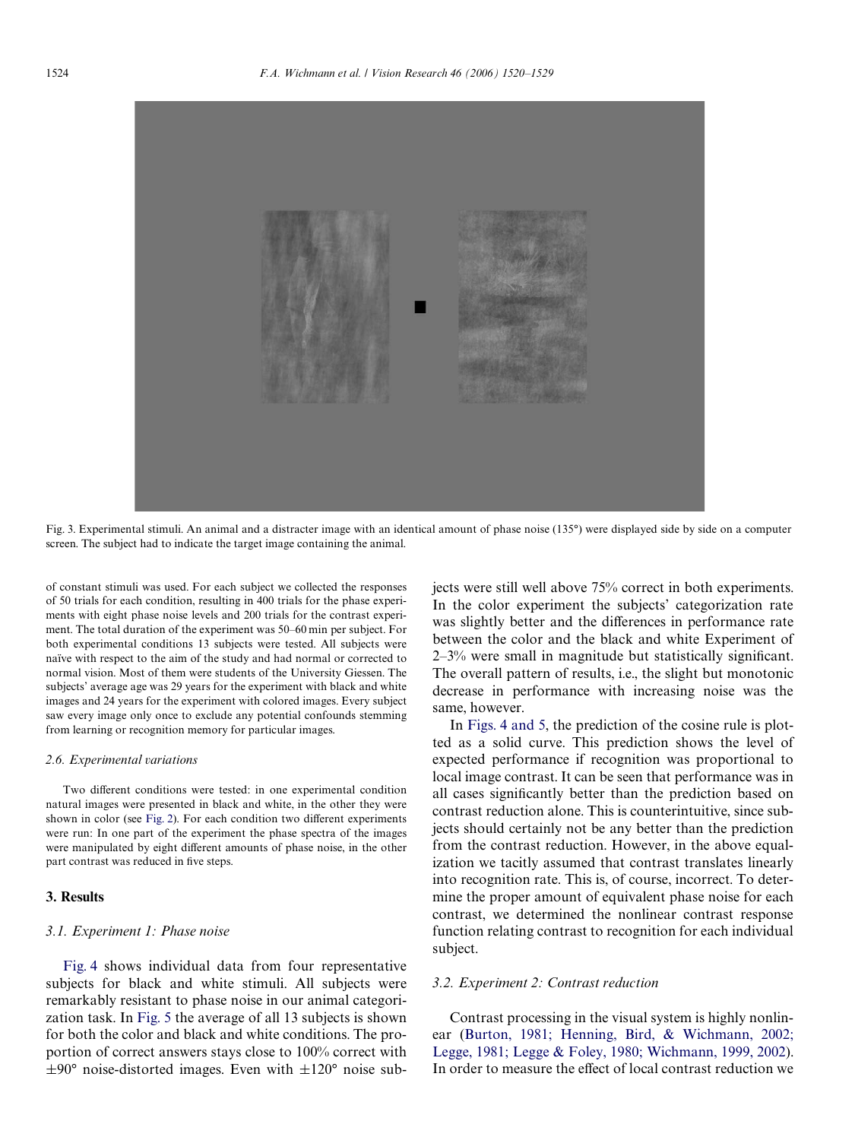

Fig. 3. Experimental stimuli. An animal and a distracter image with an identical amount of phase noise (135°) were displayed side by side on a computer screen. The subject had to indicate the target image containing the animal.

<span id="page-4-0"></span>of constant stimuli was used. For each subject we collected the responses of 50 trials for each condition, resulting in 400 trials for the phase experiments with eight phase noise levels and 200 trials for the contrast experiment. The total duration of the experiment was 50–60 min per subject. For both experimental conditions 13 subjects were tested. All subjects were naïve with respect to the aim of the study and had normal or corrected to normal vision. Most of them were students of the University Giessen. The subjects' average age was 29 years for the experiment with black and white images and 24 years for the experiment with colored images. Every subject saw every image only once to exclude any potential confounds stemming from learning or recognition memory for particular images.

#### *2.6. Experimental variations*

Two different conditions were tested: in one experimental condition natural images were presented in black and white, in the other they were shown in color (see [Fig. 2](#page-3-1)). For each condition two different experiments were run: In one part of the experiment the phase spectra of the images were manipulated by eight different amounts of phase noise, in the other part contrast was reduced in five steps.

## **3. Results**

## *3.1. Experiment 1: Phase noise*

[Fig. 4](#page-5-0) shows individual data from four representative subjects for black and white stimuli. All subjects were remarkably resistant to phase noise in our animal categorization task. In [Fig. 5](#page-5-1) the average of all 13 subjects is shown for both the color and black and white conditions. The proportion of correct answers stays close to 100% correct with  $\pm 90^\circ$  noise-distorted images. Even with  $\pm 120^\circ$  noise subjects were still well above 75% correct in both experiments. In the color experiment the subjects' categorization rate was slightly better and the differences in performance rate between the color and the black and white Experiment of  $2-3\%$  were small in magnitude but statistically significant. The overall pattern of results, i.e., the slight but monotonic decrease in performance with increasing noise was the same, however.

In [Figs. 4 and 5](#page-5-0), the prediction of the cosine rule is plotted as a solid curve. This prediction shows the level of expected performance if recognition was proportional to local image contrast. It can be seen that performance was in all cases significantly better than the prediction based on contrast reduction alone. This is counterintuitive, since subjects should certainly not be any better than the prediction from the contrast reduction. However, in the above equalization we tacitly assumed that contrast translates linearly into recognition rate. This is, of course, incorrect. To determine the proper amount of equivalent phase noise for each contrast, we determined the nonlinear contrast response function relating contrast to recognition for each individual subject.

#### *3.2. Experiment 2: Contrast reduction*

Contrast processing in the visual system is highly nonlinear ([Burton, 1981; Henning, Bird, & Wichmann, 2002;](#page-8-3) [Legge, 1981; Legge & Foley, 1980; Wichmann, 1999, 2002](#page-8-3)). In order to measure the effect of local contrast reduction we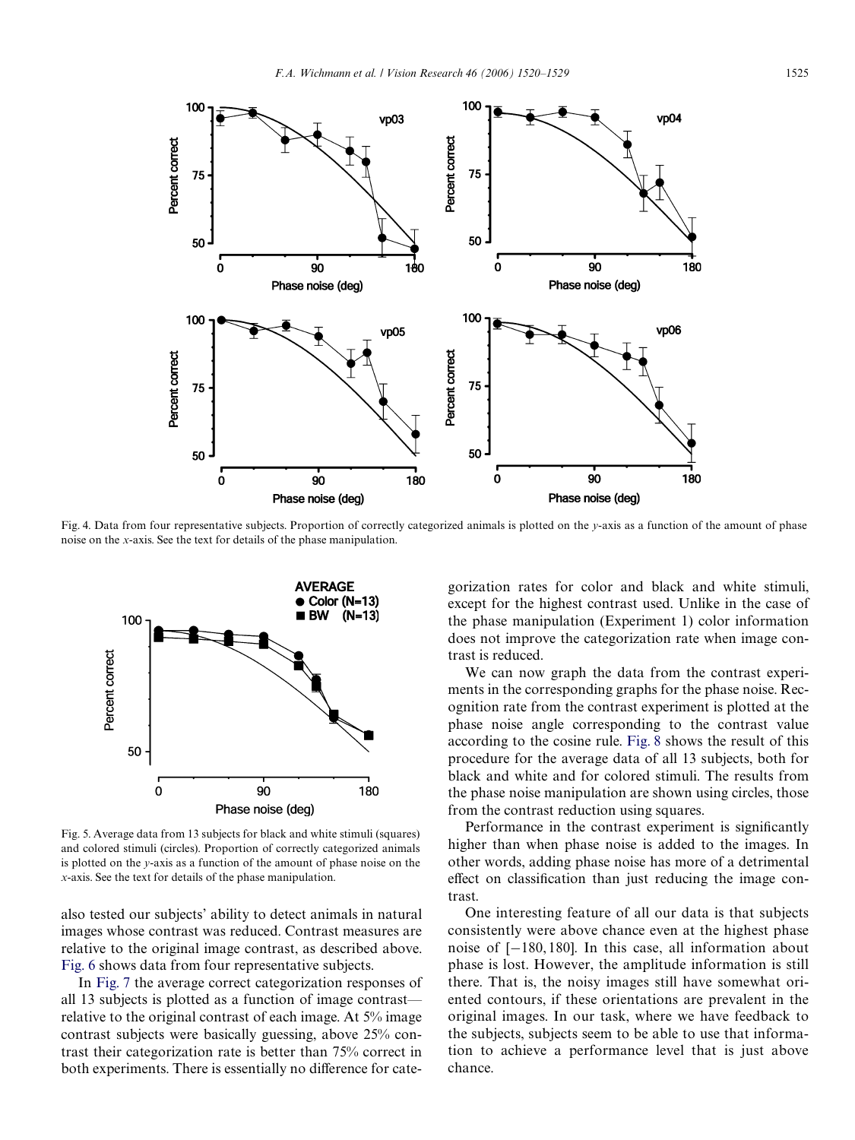

<span id="page-5-0"></span>Fig. 4. Data from four representative subjects. Proportion of correctly categorized animals is plotted on the *y*-axis as a function of the amount of phase noise on the *x*-axis. See the text for details of the phase manipulation.



<span id="page-5-1"></span>Fig. 5. Average data from 13 subjects for black and white stimuli (squares) and colored stimuli (circles). Proportion of correctly categorized animals is plotted on the *y*-axis as a function of the amount of phase noise on the *x*-axis. See the text for details of the phase manipulation.

also tested our subjects' ability to detect animals in natural images whose contrast was reduced. Contrast measures are relative to the original image contrast, as described above. [Fig. 6](#page-6-0) shows data from four representative subjects.

In [Fig. 7](#page-6-1) the average correct categorization responses of all 13 subjects is plotted as a function of image contrast relative to the original contrast of each image. At 5% image contrast subjects were basically guessing, above 25% contrast their categorization rate is better than 75% correct in both experiments. There is essentially no difference for categorization rates for color and black and white stimuli, except for the highest contrast used. Unlike in the case of the phase manipulation (Experiment 1) color information does not improve the categorization rate when image contrast is reduced.

We can now graph the data from the contrast experiments in the corresponding graphs for the phase noise. Recognition rate from the contrast experiment is plotted at the phase noise angle corresponding to the contrast value according to the cosine rule. [Fig. 8](#page-7-0) shows the result of this procedure for the average data of all 13 subjects, both for black and white and for colored stimuli. The results from the phase noise manipulation are shown using circles, those from the contrast reduction using squares.

Performance in the contrast experiment is significantly higher than when phase noise is added to the images. In other words, adding phase noise has more of a detrimental effect on classification than just reducing the image contrast.

One interesting feature of all our data is that subjects consistently were above chance even at the highest phase noise of  $[-180, 180]$ . In this case, all information about phase is lost. However, the amplitude information is still there. That is, the noisy images still have somewhat oriented contours, if these orientations are prevalent in the original images. In our task, where we have feedback to the subjects, subjects seem to be able to use that information to achieve a performance level that is just above chance.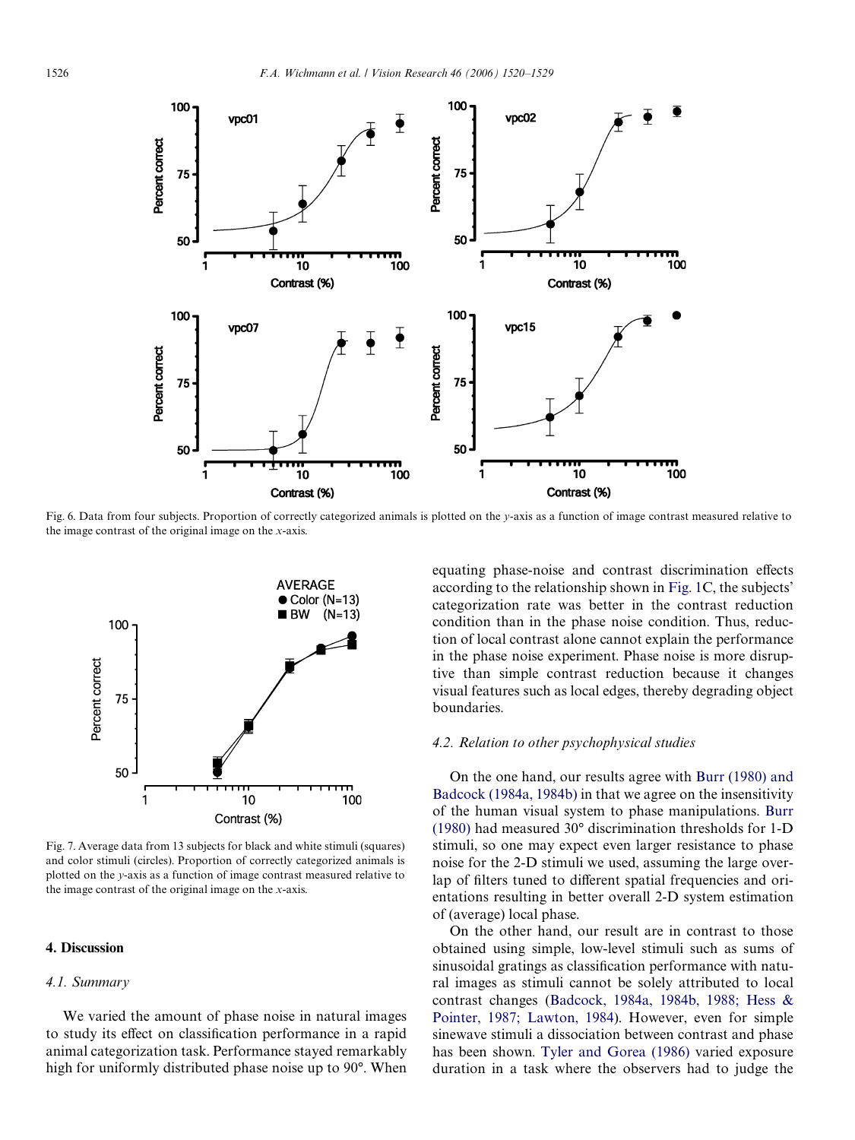

<span id="page-6-0"></span>Fig. 6. Data from four subjects. Proportion of correctly categorized animals is plotted on the *y*-axis as a function of image contrast measured relative to the image contrast of the original image on the *x*-axis.



<span id="page-6-1"></span>Fig. 7. Average data from 13 subjects for black and white stimuli (squares) and color stimuli (circles). Proportion of correctly categorized animals is plotted on the *y*-axis as a function of image contrast measured relative to the image contrast of the original image on the *x*-axis.

## **4. Discussion**

#### *4.1. Summary*

We varied the amount of phase noise in natural images to study its effect on classification performance in a rapid animal categorization task. Performance stayed remarkably high for uniformly distributed phase noise up to 90°. When equating phase-noise and contrast discrimination effects according to the relationship shown in [Fig. 1](#page-3-0)C, the subjects' categorization rate was better in the contrast reduction condition than in the phase noise condition. Thus, reduction of local contrast alone cannot explain the performance in the phase noise experiment. Phase noise is more disruptive than simple contrast reduction because it changes visual features such as local edges, thereby degrading object boundaries.

#### *4.2. Relation to other psychophysical studies*

On the one hand, our results agree with [Burr \(1980\) and](#page-8-1) [Badcock \(1984a, 1984b\)](#page-8-1) in that we agree on the insensitivity of the human visual system to phase manipulations. [Burr](#page-8-1) [\(1980\)](#page-8-1) had measured 30° discrimination thresholds for 1-D stimuli, so one may expect even larger resistance to phase noise for the 2-D stimuli we used, assuming the large overlap of filters tuned to different spatial frequencies and orientations resulting in better overall 2-D system estimation of (average) local phase.

On the other hand, our result are in contrast to those obtained using simple, low-level stimuli such as sums of sinusoidal gratings as classification performance with natural images as stimuli cannot be solely attributed to local contrast changes ([Badcock, 1984a, 1984b, 1988; Hess &](#page-8-4) [Pointer, 1987; Lawton, 1984\)](#page-8-4). However, even for simple sinewave stimuli a dissociation between contrast and phase has been shown. [Tyler and Gorea \(1986\)](#page-9-11) varied exposure duration in a task where the observers had to judge the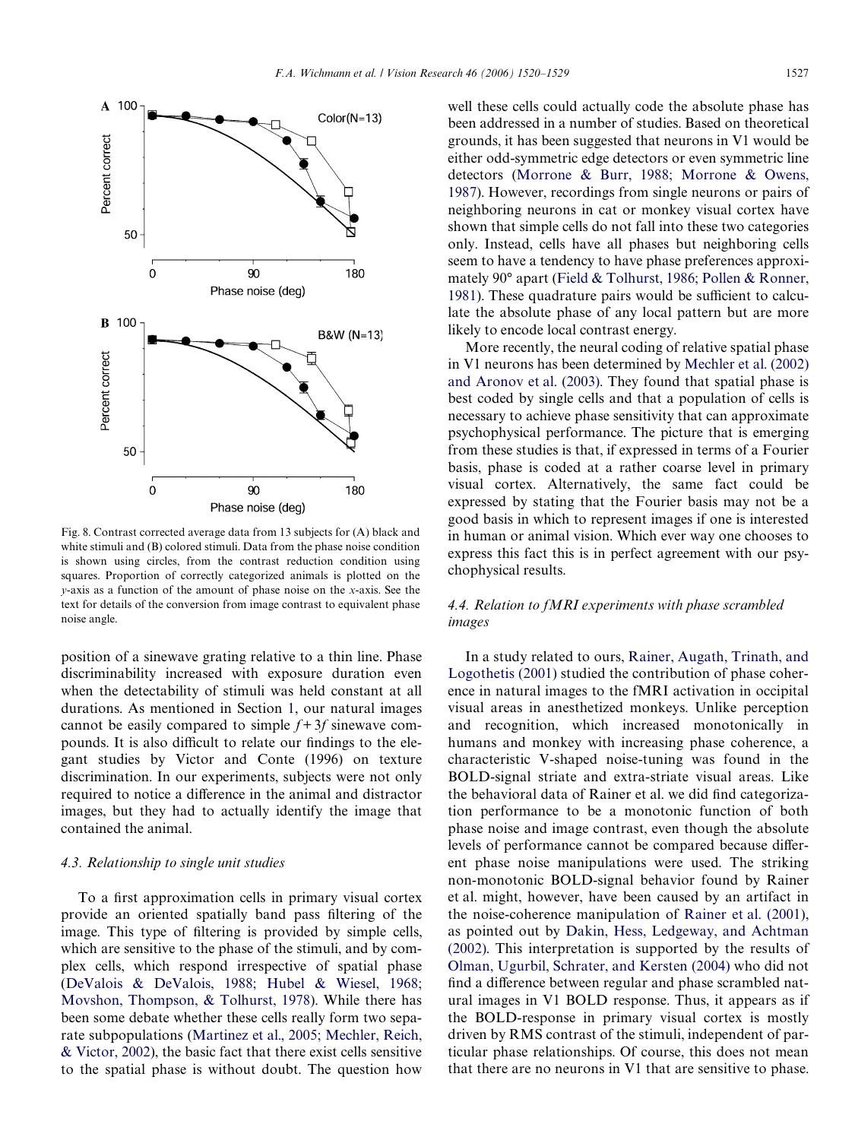

<span id="page-7-0"></span>Fig. 8. Contrast corrected average data from 13 subjects for (A) black and white stimuli and (B) colored stimuli. Data from the phase noise condition is shown using circles, from the contrast reduction condition using squares. Proportion of correctly categorized animals is plotted on the *y*-axis as a function of the amount of phase noise on the *x*-axis. See the text for details of the conversion from image contrast to equivalent phase noise angle.

position of a sinewave grating relative to a thin line. Phase discriminability increased with exposure duration even when the detectability of stimuli was held constant at all durations. As mentioned in Section [1](#page-0-0), our natural images cannot be easily compared to simple *f*+ 3*f* sinewave compounds. It is also difficult to relate our findings to the elegant studies by Victor and Conte (1996) on texture discrimination. In our experiments, subjects were not only required to notice a difference in the animal and distractor images, but they had to actually identify the image that contained the animal.

## *4.3. Relationship to single unit studies*

To a first approximation cells in primary visual cortex provide an oriented spatially band pass filtering of the image. This type of filtering is provided by simple cells, which are sensitive to the phase of the stimuli, and by complex cells, which respond irrespective of spatial phase ([DeValois & DeValois, 1988; Hubel & Wiesel, 1968;](#page-8-5) [Movshon, Thompson, & Tolhurst, 1978](#page-8-5)). While there has been some debate whether these cells really form two separate subpopulations ([Martinez et al., 2005; Mechler, Reich,](#page-9-12) [& Victor, 2002\)](#page-9-12), the basic fact that there exist cells sensitive to the spatial phase is without doubt. The question how

well these cells could actually code the absolute phase has been addressed in a number of studies. Based on theoretical grounds, it has been suggested that neurons in V1 would be either odd-symmetric edge detectors or even symmetric line detectors ([Morrone & Burr, 1988; Morrone & Owens,](#page-9-13) [1987\)](#page-9-13). However, recordings from single neurons or pairs of neighboring neurons in cat or monkey visual cortex have shown that simple cells do not fall into these two categories only. Instead, cells have all phases but neighboring cells seem to have a tendency to have phase preferences approximately 90° apart ([Field & Tolhurst, 1986; Pollen & Ronner,](#page-9-14) [1981\)](#page-9-14). These quadrature pairs would be sufficient to calculate the absolute phase of any local pattern but are more likely to encode local contrast energy.

More recently, the neural coding of relative spatial phase in V1 neurons has been determined by [Mechler et al. \(2002\)](#page-9-15) [and Aronov et al. \(2003\).](#page-9-15) They found that spatial phase is best coded by single cells and that a population of cells is necessary to achieve phase sensitivity that can approximate psychophysical performance. The picture that is emerging from these studies is that, if expressed in terms of a Fourier basis, phase is coded at a rather coarse level in primary visual cortex. Alternatively, the same fact could be expressed by stating that the Fourier basis may not be a good basis in which to represent images if one is interested in human or animal vision. Which ever way one chooses to express this fact this is in perfect agreement with our psychophysical results.

## *4.4. Relation to fMRI experiments with phase scrambled images*

In a study related to ours, [Rainer, Augath, Trinath, and](#page-9-16) [Logothetis \(2001\)](#page-9-16) studied the contribution of phase coherence in natural images to the fMRI activation in occipital visual areas in anesthetized monkeys. Unlike perception and recognition, which increased monotonically in humans and monkey with increasing phase coherence, a characteristic V-shaped noise-tuning was found in the BOLD-signal striate and extra-striate visual areas. Like the behavioral data of Rainer et al. we did find categorization performance to be a monotonic function of both phase noise and image contrast, even though the absolute levels of performance cannot be compared because different phase noise manipulations were used. The striking non-monotonic BOLD-signal behavior found by Rainer et al. might, however, have been caused by an artifact in the noise-coherence manipulation of [Rainer et al. \(2001\)](#page-9-16), as pointed out by [Dakin, Hess, Ledgeway, and Achtman](#page-8-6) [\(2002\).](#page-8-6) This interpretation is supported by the results of [Olman, Ugurbil, Schrater, and Kersten \(2004\)](#page-9-17) who did not find a difference between regular and phase scrambled natural images in V1 BOLD response. Thus, it appears as if the BOLD-response in primary visual cortex is mostly driven by RMS contrast of the stimuli, independent of particular phase relationships. Of course, this does not mean that there are no neurons in V1 that are sensitive to phase.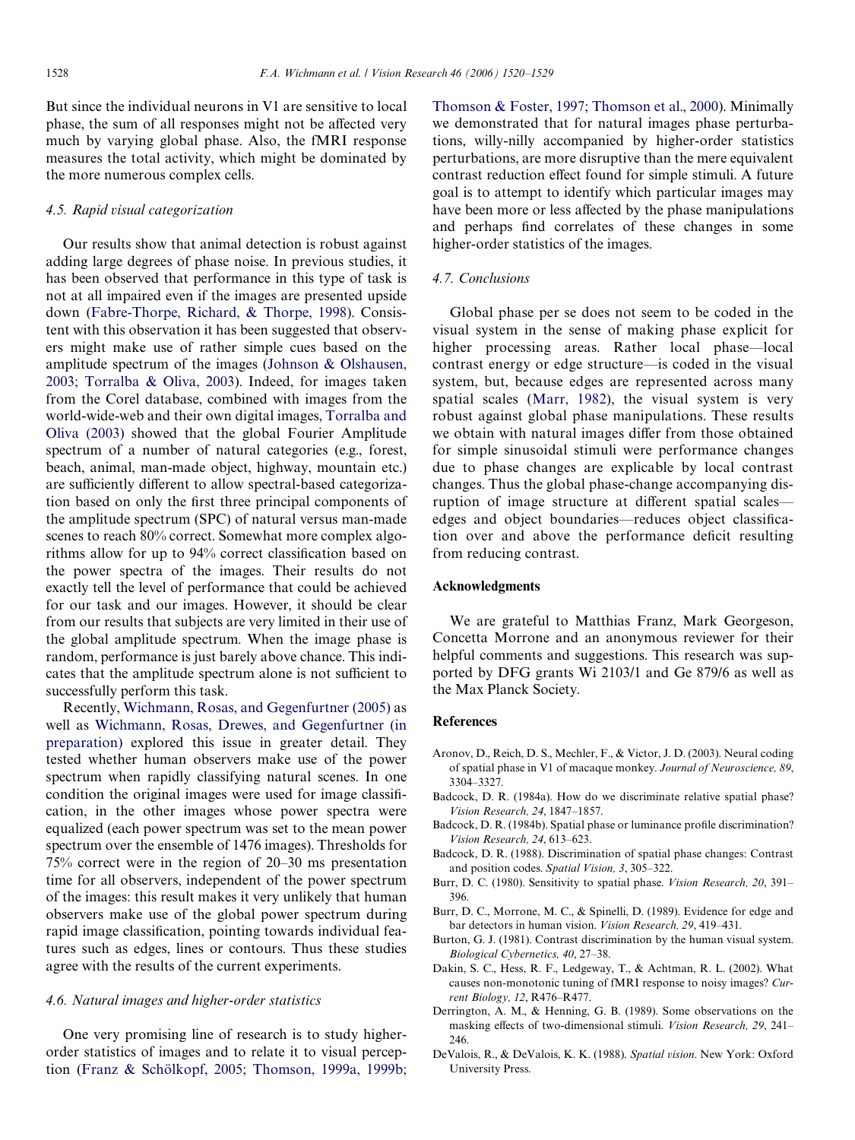But since the individual neurons in V1 are sensitive to local phase, the sum of all responses might not be affected very much by varying global phase. Also, the fMRI response measures the total activity, which might be dominated by the more numerous complex cells.

## *4.5. Rapid visual categorization*

Our results show that animal detection is robust against adding large degrees of phase noise. In previous studies, it has been observed that performance in this type of task is not at all impaired even if the images are presented upside down [\(Fabre-Thorpe, Richard, & Thorpe, 1998\)](#page-9-18). Consistent with this observation it has been suggested that observers might make use of rather simple cues based on the amplitude spectrum of the images [\(Johnson & Olshausen,](#page-9-19) [2003; Torralba & Oliva, 2003](#page-9-19)). Indeed, for images taken from the Corel database, combined with images from the world-wide-web and their own digital images, [Torralba and](#page-9-20) [Oliva \(2003\)](#page-9-20) showed that the global Fourier Amplitude spectrum of a number of natural categories (e.g., forest, beach, animal, man-made object, highway, mountain etc.) are sufficiently different to allow spectral-based categorization based on only the first three principal components of the amplitude spectrum (SPC) of natural versus man-made scenes to reach 80% correct. Somewhat more complex algorithms allow for up to 94% correct classification based on the power spectra of the images. Their results do not exactly tell the level of performance that could be achieved for our task and our images. However, it should be clear from our results that subjects are very limited in their use of the global amplitude spectrum. When the image phase is random, performance is just barely above chance. This indicates that the amplitude spectrum alone is not sufficient to successfully perform this task.

Recently, [Wichmann, Rosas, and Gegenfurtner \(2005\)](#page-9-21) as well as [Wichmann, Rosas, Drewes, and Gegenfurtner \(in](#page-9-22) [preparation\)](#page-9-22) explored this issue in greater detail. They tested whether human observers make use of the power spectrum when rapidly classifying natural scenes. In one condition the original images were used for image classification, in the other images whose power spectra were equalized (each power spectrum was set to the mean power spectrum over the ensemble of 1476 images). Thresholds for 75% correct were in the region of 20–30 ms presentation time for all observers, independent of the power spectrum of the images: this result makes it very unlikely that human observers make use of the global power spectrum during rapid image classification, pointing towards individual features such as edges, lines or contours. Thus these studies agree with the results of the current experiments.

## *4.6. Natural images and higher-order statistics*

One very promising line of research is to study higherorder statistics of images and to relate it to visual perception ([Franz & Schölkopf, 2005; Thomson, 1999a, 1999b;](#page-9-3) [Thomson & Foster, 1997; Thomson et al., 2000](#page-9-3)). Minimally we demonstrated that for natural images phase perturbations, willy-nilly accompanied by higher-order statistics perturbations, are more disruptive than the mere equivalent contrast reduction effect found for simple stimuli. A future goal is to attempt to identify which particular images may have been more or less affected by the phase manipulations and perhaps find correlates of these changes in some higher-order statistics of the images.

#### *4.7. Conclusions*

Global phase per se does not seem to be coded in the visual system in the sense of making phase explicit for higher processing areas. Rather local phase—local contrast energy or edge structure—is coded in the visual system, but, because edges are represented across many spatial scales ([Marr, 1982](#page-9-6)), the visual system is very robust against global phase manipulations. These results we obtain with natural images differ from those obtained for simple sinusoidal stimuli were performance changes due to phase changes are explicable by local contrast changes. Thus the global phase-change accompanying disruption of image structure at different spatial scales edges and object boundaries—reduces object classification over and above the performance deficit resulting from reducing contrast.

## **Acknowledgments**

We are grateful to Matthias Franz, Mark Georgeson, Concetta Morrone and an anonymous reviewer for their helpful comments and suggestions. This research was supported by DFG grants Wi 2103/1 and Ge 879/6 as well as the Max Planck Society.

#### **References**

- Aronov, D., Reich, D. S., Mechler, F., & Victor, J. D. (2003). Neural coding of spatial phase in V1 of macaque monkey. *Journal of Neuroscience, 89*, 3304–3327.
- <span id="page-8-4"></span>Badcock, D. R. (1984a). How do we discriminate relative spatial phase? *Vision Research, 24*, 1847–1857.
- Badcock, D. R. (1984b). Spatial phase or luminance profile discrimination? *Vision Research, 24*, 613–623.
- Badcock, D. R. (1988). Discrimination of spatial phase changes: Contrast and position codes. *Spatial Vision, 3*, 305–322.
- <span id="page-8-1"></span>Burr, D. C. (1980). Sensitivity to spatial phase. *Vision Research, 20*, 391– 396.
- <span id="page-8-2"></span>Burr, D. C., Morrone, M. C., & Spinelli, D. (1989). Evidence for edge and bar detectors in human vision. *Vision Research, 29*, 419–431.
- <span id="page-8-3"></span>Burton, G. J. (1981). Contrast discrimination by the human visual system. *Biological Cybernetics, 40*, 27–38.
- <span id="page-8-6"></span>Dakin, S. C., Hess, R. F., Ledgeway, T., & Achtman, R. L. (2002). What causes non-monotonic tuning of fMRI response to noisy images? *Current Biology, 12*, R476–R477.
- <span id="page-8-0"></span>Derrington, A. M., & Henning, G. B. (1989). Some observations on the masking effects of two-dimensional stimuli. *Vision Research, 29, 241–* 246.
- <span id="page-8-5"></span>DeValois, R., & DeValois, K. K. (1988). *Spatial vision*. New York: Oxford University Press.